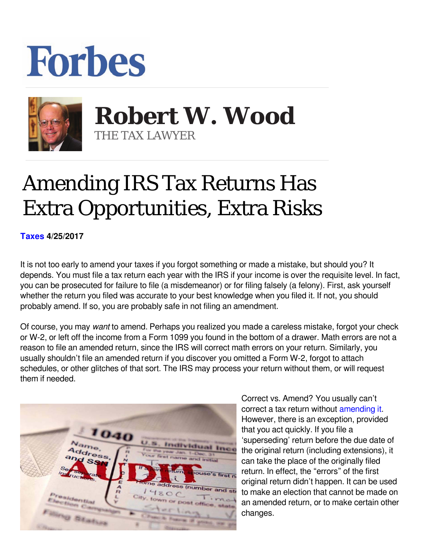## **Forbes**



 **Robert W. Wood** THE TAX LAWYER

## Amending IRS Tax Returns Has Extra Opportunities, Extra Risks

**[Taxes](https://www.forbes.com/taxes) 4/25/2017** 

It is not too early to amend your taxes if you forgot something or made a mistake, but should you? It depends. You must file a tax return each year with the IRS if your income is over the requisite level. In fact, you can be prosecuted for failure to file (a misdemeanor) or for filing falsely (a felony). First, ask yourself whether the return you filed was accurate to your best knowledge when you filed it. If not, you should probably amend. If so, you are probably safe in not filing an amendment.

Of course, you may want to amend. Perhaps you realized you made a careless mistake, forgot your check or W-2, or left off the income from a Form 1099 you found in the bottom of a drawer. Math errors are not a reason to file an amended return, since the IRS will correct math errors on your return. Similarly, you usually shouldn't file an amended return if you discover you omitted a Form W-2, forgot to attach schedules, or other glitches of that sort. The IRS may process your return without them, or will request them if needed.



Correct vs. Amend? You usually can't correct a tax return without [amending it](http://www.forbes.com/2010/05/28/10-tips-amended-tax-returns-irs-personal-finance-robert-wood.html). However, there is an exception, provided that you act quickly. If you file a 'superseding' return before the due date of the original return (including extensions), it can take the place of the originally filed return. In effect, the "errors" of the first original return didn't happen. It can be used to make an election that cannot be made on an amended return, or to make certain other changes.